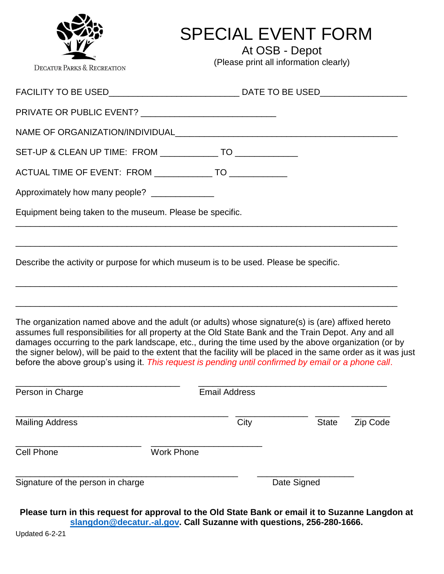| <b>DECATUR PARKS &amp; RECREATION</b>                                                | <b>SPECIAL EVENT FORM</b><br>At OSB - Depot<br>(Please print all information clearly)                                                                                                                                                                                                                                                                                                                                                                                                                                                                                                                                              |
|--------------------------------------------------------------------------------------|------------------------------------------------------------------------------------------------------------------------------------------------------------------------------------------------------------------------------------------------------------------------------------------------------------------------------------------------------------------------------------------------------------------------------------------------------------------------------------------------------------------------------------------------------------------------------------------------------------------------------------|
|                                                                                      |                                                                                                                                                                                                                                                                                                                                                                                                                                                                                                                                                                                                                                    |
| PRIVATE OR PUBLIC EVENT? ______________________________                              |                                                                                                                                                                                                                                                                                                                                                                                                                                                                                                                                                                                                                                    |
|                                                                                      |                                                                                                                                                                                                                                                                                                                                                                                                                                                                                                                                                                                                                                    |
| SET-UP & CLEAN UP TIME: FROM _______________ TO ______________                       |                                                                                                                                                                                                                                                                                                                                                                                                                                                                                                                                                                                                                                    |
| ACTUAL TIME OF EVENT: FROM _______________ TO _____________                          |                                                                                                                                                                                                                                                                                                                                                                                                                                                                                                                                                                                                                                    |
| Approximately how many people? _______________                                       |                                                                                                                                                                                                                                                                                                                                                                                                                                                                                                                                                                                                                                    |
| Equipment being taken to the museum. Please be specific.                             |                                                                                                                                                                                                                                                                                                                                                                                                                                                                                                                                                                                                                                    |
| Describe the activity or purpose for which museum is to be used. Please be specific. | ,我们也不能在这里的,我们也不能在这里的时候,我们也不能在这里的时候,我们也不能会不能在这里的时候,我们也不能会不能会不能会不能会不能会不能会不能会不能会不能会                                                                                                                                                                                                                                                                                                                                                                                                                                                                                                                                                   |
|                                                                                      | ,一个人的人都是一个人的人,我们就是一个人的人,我们就是一个人的人,我们就是一个人的人,我们就是一个人的人,我们就是一个人的人,我们就是一个人的人,我们就是一个人<br>The organization named above and the adult (or adults) whose signature(s) is (are) affixed hereto<br>assumes full responsibilities for all property at the Old State Bank and the Train Depot. Any and all<br>damages occurring to the park landscape, etc., during the time used by the above organization (or by<br>the signer below), will be paid to the extent that the facility will be placed in the same order as it was just<br>before the above group's using it. This request is pending until confirmed by email or a phone call. |

| Person in Charge                  | <b>Email Address</b> |      |              |          |
|-----------------------------------|----------------------|------|--------------|----------|
| <b>Mailing Address</b>            |                      | City | <b>State</b> | Zip Code |
| Cell Phone                        | <b>Work Phone</b>    |      |              |          |
| Signature of the person in charge |                      |      | Date Signed  |          |

**Please turn in this request for approval to the Old State Bank or email it to Suzanne Langdon at [slangdon@decatur.-al.gov.](mailto:slangdon@decatur.-al.gov) Call Suzanne with questions, 256-280-1666.**